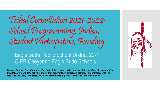# Tribal Consultation 2021-2022: School Programming, Indian Student Participation, Funding

### Eagle Butte Public School District 20-1 C-EB Cheyenne Eagle Butte Schools

*The 20-1 Board of Education subscribes to the fullest extent to the principle of the dignity of all people and of their labors and will take action to ensure that applicants are employed, assigned, and promoted without regard to their age, race, creed, color, sex, marital status, political affiliation, or national origin.* 

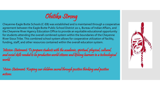Ohitika Strong

Cheyenne-Eagle Butte Schools (C-EB) was established and is maintained through a cooperative agreement between the Eagle Butte Public School District 20-1, Bureau of Indian Affairs, and the Cheyenne River Agency Education Office to provide an equitable educational opportunity for students attending the overall combined system within the boundaries of the Cheyenne River Sioux Tribe. This combined school system allows for cooperative utilization of facility, funding, staff, and other resources contained within the overall education system.

Mission Statement: To prepare students with the academic, spiritual, physical, cultural, and social skills needed to be productive world citizens and lifelong learners in a technological world.

Vision Statement: Keeping our children sacred through positive thinking and positive actions.

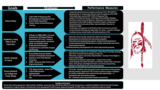**School Safety**

### Goals **Entry Strategies Performance Measures**

- **Cooperative development and ongoing monitoring of the C-EB COVID-19 Reopening Plan is in partnership with and under the guidance of the CRST Tribal Health Dept. and the CRST COVID-19 Response Plan.**
- **Analysis of the Report Summary, Grant Opportunity Identified, Strategic Planning to Improve Security Measures, Subsequent Local Benefits Include: Development of the Health & Safety Coordinator Position, Collaborative Partnerships with Community Entities, Improved Safety & Security for Students and Staff.**
- **Continuation and expansion of the Positive Action Curriculum to promote social-emotional well-being and safety within our school – proactive strategies to address trauma, mental health, and healthy practices for life.**
- **Instruction driven by data results from district and state data**
- **Enhancement of enrichment and intervention programs**
- **Instructional and programming support; professional development to increase teacher/school effectiveness on student achievement and school improvement measures**

**Continued planning and progression for school improvement purposes.**

- **Input practices include but are not limited to: Indian Parent Committee meetings, open forum community input meetings, surveys, etc.**
- **Partnership, program, and activity implementation – Example: Parent Nights & Lakota Cultural Nights**
- **Professional Development opportunities – Lakota Circles of Hope**
- **Lakota language and culture education and activities: student clubs, hand game teams, drum groups, knowledge bowl teams, and archery programming.**
- **Utilization of Oceti Sakowin for instructional purposes**
- **CTE CLNA – Identified action plan goals include: improvement of HS graduation planning practices, alignment of CTE courses to produce program completers for industry certifications, dual credit and internship opportunities – in development with local industry partners**
- **SIP – Continued school improvement initiative and practices**

### **Facilities and Grounds**

School-wide roofing replacement; safety bollards installation, annual gym floor refinishing, cafeteria remodel and expansion, completed installation of touch-free water fountains, **development of Legend's Square community park, future development of staff housing, replacement/upgrade of HVAC system, annual maintenance duties as needed.**



**1. CTE: Needs Analysis – Action Plan**

**1. Annual Native American Student Inclusion & Participation Assessment** 

**Comprehensive Local Needs Analysis** 

**3. AISES - American Indian Science and** 

**2. Expansion of the Oceti Sakowin** 

**3. CIS - School Improvement Action** 

**2. C-EB STEM Education Implementation**

**Engineering Society**

**Curriculum**

**and Planning**

**Plan**

**1. C-EB COVID-19 Reopening Plan 2. SD Department of Homeland Security –**

**School Safety Assessment 3. Positive Action & Social-Emotional** 

**Learning** 

**Academics: Using Data to Drive Instruction**

**Lakota Language & Culture**

**Ensure Students are College and Career Ready** 

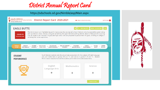

### https://sdschools.sd.gov/Nimble/asp/Main.aspx



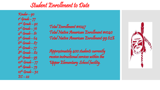### Student Enrollment to Date

Kinder – 90 r<sup>st</sup> Grade – 77 2 nd Grade – 92 3 rd Grade – 76 4<sup>th</sup> Grade – 81 5 th Grade – 64 6 th Grade – 87 7 th Grade – 77 8 th Grade – 82 9 th Grade – 95  $10^{th}$  Grade - 77  $11^{th}$  Grade - 75  $12^{th}$  Grade - 52  $EC - 22$ 

Total Enrollment #1047 Total Native American Enrollment #1040 Total Native American Enrollment 99.62%

Approximately 400 students currently receive instructional services within the Upper Elementary School facility.

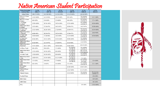## Native American Student Participation

| Extra-Curricular<br><b>Activity/Class</b> | % NA<br>2016-17 | % NA<br>2017-18 | % NA<br>2018-19 | % NA<br>2019-20         | % NA<br>2020-21                | % NA<br>2021-22         |
|-------------------------------------------|-----------------|-----------------|-----------------|-------------------------|--------------------------------|-------------------------|
| School Wide                               | 369/375=98%     | 332/338=98%     | 311/315=99%     | 274/278=99%             | 126/128=98%                    |                         |
| Girls 6-12 Cross<br>Country               | $11/11 = 100%$  | 12/13=92%       | 10/10=100%      | $9/9=100%$              | No Activity<br>COVID-19        | $4/4 = 100%$            |
| Boys 6-12 Cross<br>Country                | $6/6=100%$      | $1/1 = 100\%$   | $3/3 = 100%$    | $4/4=100%$              | No Activity<br>COVID-19        | $7/7 = 100\%$           |
| 7-8 Jr High<br>Football                   | 30/30=100%      | 30/30=100%      | 30/30=100%      | 32/32=100%              | No Activity<br>COVID-19        | 24/24=100%              |
| <b>High School Boys</b><br>Football       | 50/51=98%       | 37/38=97%       | 34/35=97%       | 38/39=97%               | 16/17=97%                      | 28/28=100%              |
| Jr High Girls<br>Volleyball               | 25/25=100%      | 28/28=100%      | 27/28=96%       | 29/30=97%               | No Activity<br>COVID-19        | 24/24=100%              |
| High School Girls<br>Volleyball           | 44/46=96%       | 38/39=97%       | 26/26=100%      | 35/36=97%               | No Activity<br>COVID-19        | 28/30=93%               |
| Jr High Girls<br>Basketball               | 28/28=100%      | 27/28=96%       | 24/25=96%       | 25/25=100%              | No Activity<br>COVID-19        | 24/24=100%              |
| Jr High Boys<br>Basketball                | 41/42=98%       | 35/35=100%      | 35/35=100%      | 38/38=100%              | No Activity<br>COVID-19        |                         |
| High School Boys<br>Basketball            | 41/42=98%       | 32/33=97%       | 37/38=97%       | 31/32=96%               | 14/15=93%                      |                         |
| High School Girls<br>Basketball           | 35/35=100%      | 41/41=100%      | 38/38=100%      | 28/28=100%              | 18/18=100%                     |                         |
| 6-8 Boys Track                            | $8/8 = 100%$    | $8/8 = 100%$    | $5/5 = 100%$    | No Activity<br>COVID-19 | No Activity<br>COVID-19        |                         |
| High School Boys<br>Track                 | $11/11 = 100%$  | 10/10=100%      | $8/8 = 100%$    | No Activity<br>COVID-19 | NO Activity<br>0-Participation |                         |
| 6-8 Girls Track                           | 10/10=100%      | 10/10=100%      | $8/8 = 100%$    | No Activity<br>COVID-19 | No Activity<br>COVID-19        |                         |
| High School Girls<br>Track                | 18/19=95%       | 14/14=100%      | 15/15=100%      | No Activity<br>COVID-19 | $2/2 = 100%$                   |                         |
| High School Girls<br>Golf                 | $5/5 = 100%$    | $4/4=100%$      | $7/7=100%$      | No Activity<br>COVID-19 | No Activity<br>No Coach        | $3/3 = 100\%$           |
| High School Boys<br>Golf                  | $6/6=100%$      | $5/6 = 83%$     | $4/4=100%$      | $5/5=100%$              | No Activity<br>COVID-19        | $2/2 = 100\%$           |
| HS Student<br>Council                     |                 |                 |                 | 40/40=100%              | 40/40=100%                     |                         |
| National Honor<br>Society                 |                 |                 |                 | 13/13=100%              | 13/13=100%                     |                         |
| Natural Helpers                           |                 |                 |                 | 23/23=100%              | No Activity<br>COVID-19        | No Activity<br>COVID-19 |
| Football Cheer                            |                 |                 |                 |                         |                                | $6/6=100%$              |
| <b>BBB</b> Cheer                          |                 |                 |                 |                         |                                | $6/6=100%$              |
| GBB Cheer                                 |                 |                 |                 |                         |                                | $6/6 - 100%$            |
| <b>FFA</b>                                |                 |                 |                 |                         | $5/6 = 83%$                    | 15/15=100%              |

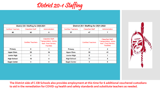District 20-1 Staffing

| District 20-1 Staffing for 2020-2021 |                          |                                                                                               |  |  |  |  |
|--------------------------------------|--------------------------|-----------------------------------------------------------------------------------------------|--|--|--|--|
| <b>Certified Teachers</b>            | <b>Classified Staff</b>  | Administration                                                                                |  |  |  |  |
| 49                                   | 40                       | 8                                                                                             |  |  |  |  |
|                                      |                          |                                                                                               |  |  |  |  |
|                                      | <b>Certifed Teachers</b> | <b>Classifed Staff,</b><br>Transportation, Admin.<br>Asst. Food Service,<br><b>Facilities</b> |  |  |  |  |
| <b>Primary</b>                       | 6                        |                                                                                               |  |  |  |  |
| <b>Upper Elem.</b>                   | 26                       | 34                                                                                            |  |  |  |  |
| <b>Junior High</b>                   | 4                        |                                                                                               |  |  |  |  |
| <b>High School</b>                   | 10                       |                                                                                               |  |  |  |  |
| <b>Eagle Center</b>                  | 3                        |                                                                                               |  |  |  |  |

| District 20-1 Staffing for 2021-2022 |                           |                                                                                          |  |  |  |  |
|--------------------------------------|---------------------------|------------------------------------------------------------------------------------------|--|--|--|--|
| <b>Certified Teachers</b>            | <b>Classified Staff</b>   | Administration                                                                           |  |  |  |  |
| 57                                   | 47                        | 7                                                                                        |  |  |  |  |
|                                      |                           |                                                                                          |  |  |  |  |
|                                      | <b>Certified Teachers</b> | Classified Staff,<br>Transportation, Admin.<br>Asst., Food Service,<br><b>Facilities</b> |  |  |  |  |
| <b>Primary</b>                       | 7                         | 2                                                                                        |  |  |  |  |
| <b>Upper Elem.</b>                   | 30                        | 41                                                                                       |  |  |  |  |
| <b>Junior High</b>                   | 5                         |                                                                                          |  |  |  |  |
| <b>High School</b>                   | 11                        | 4                                                                                        |  |  |  |  |
| <b>Eagle Center</b>                  | 3                         | Ω                                                                                        |  |  |  |  |



**The District side of C-EB Schools also provides employment at this time for 6 additional vouchered custodians to aid in the remediation for COVID-19 health and safety standards and substitute teachers as needed.**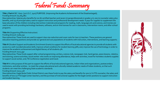

**Title I, Part A** SEC. 6102. [20 U.S.C. 7402] PURPOSE. (Improving the Academic Achievement of the Disadvantaged); Funding Amount: \$2,064,862

Description/Use: Salaries plus benefits for six (6) certified teachers and seven (7) paraprofessionals in grades 3-6, one (1) counselor salary plus benefits, and 1/3 of principal salary used to support instruction and professional development needs. It pays for supplies to supplement the base education of the children including intervention materials and programs for reading, math, language arts and science, and monies are used to assist with providing technology hardware, software, and on-line licenses for use in classrooms, intervention rooms, and after-school programs.

### **Title II A** (Supporting Effective Instruction)

Funding Amount: \$260,192

Description/Use: These funds are used to support class size reduction and cover costs for two (2) teachers. These positions are general education teaching positions and provide our general and sub-populations of students with instruction, interventions, and learning supports.

**Title IV** (Student Support and Academic Enrichment Grants) to support the efforts of local educational agencies to provide all students with access to a well-rounded education 60%; improve school conditions for student learning 36%, and; improve the use of technology in order to improve the academic achievement and digital literacy of all students 4%.

Funding Amount: \$211,597

Description/Use: These funds support after-school programming: archery, science club, newspaper club, hand games, piano lessons, robotics, and tutoring; science activities; social worker: who works on improving attendance, helps with activities, travel for homeless students supplies to support social worker, and; TIE Conference registration and travel.

**Title VI** It is the purpose of this part to support the efforts of local educational agencies, Indian tribes and organizations, postsecondary institutions, and other entities - to meet the unique educational and culturally related academic needs of Indian students, so that such students can meet the challenging State academic standards.

Funding Amount: \$211,128

Description/Use: Eagle Butte Public School District uses these funds to pay the salary and benefits for one (1) 1/2 FTE counselor; the salary and benefits of two (2) FTE Eagle Center teachers; and the purchase of instructional supplies for the Eagle Center positions to support instruction and student learning.

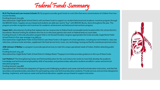

**RLIS The Rural and Low-Income Schools** (RLIS) program provides grant funds to rural LEAs that serve concentrations of children from lowincome families.

Funding Amount: \$12,560

Description/Use: Eagle Butte School District will use these funds to support our student behavioral and academic incentive program through the BRAVES Store. Supplies are purchased and students are able earn and to "buy" with BRAVES Bucks, items throughout the year. This program provides recognition and incentives for academic achievement and behavioral interventions progress.

**Impact Aid** is discretionary funding that replaces lost tax revenue due to federal lands (nontaxable lands) located within the school district's boundaries. Receive funding for students who live on or who have parents who work on federal lands on count date.

Funding Amount: Is the only education program that is not forward funded, Congress appropriates the funds annually. Eagle Butte Public School District's five-year average is \$3,368,523.

Description/Use: Eagle Butte Public School District uses these funds in all aspects of school operation, including but not limited to: class size reduction, extracurricular activities, supplement the food service fund, music, art, technology, busing and facility maintenance/construction.

**JOM Johnson-O'Malley** is a program to provide special services to meet the unique specialized needs of Indian children attending public schools.

Funding Amount: \$14,276

Description/Use: Eagle Butte Public School District's Wakpa Waste' Tiospaye Committee provides guidance on the use of these funds.

**Carl-Perkins V** The Strengthening Career and Technical Education for the 21st Century Act works to more fully develop the academic knowledge and technical and employability skills of secondary and postsecondary education students enrolled in career and technical education programs

Funding Amount: \$34,866

Description/Use: Promote the integration of rigorous and challenging academic and career and technical education instruction, and that link secondary and postsecondary education for participating career and technical education students; Provide services and activities designed to develop, implement, and improve career and technical education; supplies are purchased to support instruction.

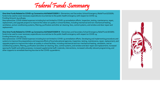

**One-time Funds Related to COVID-19 Coronavirus Aid Relief ESSER II -** Elementary and Secondary School Emergency Relief Fund (ESSER): funds to be used to cover necessary expenditures incurred due to the public health emergency with respect to COVID-19. Funding Amount: \$5,028,909

Description/Use: COVID related expenses including but not limited to COVID-19 remediation efforts. Inspection, testing, maintenance, repair, replacement, and upgrade projects to improve the indoor air quality in school facilities, including mechanical and non-mechanical heating, ventilation, and air conditioning systems, filtering, purification and other air cleaning, fans, control systems, and window and door repair and replacement.

**One-time Funds Related to COVID-19 Coronavirus Aid Relief ESSER III -** Elementary and Secondary School Emergency Relief Fund (ESSER): funds to be used to cover necessary expenditures incurred due to the public health emergency with respect to COVID-19. Funding Amount: \$11,294,214

Description/Use: COVID related expenses including but not limited to COVID-19 remediation efforts. Developing and implementing procedures and systems to improve the preparedness and response efforts of local educational agencies; Inspection, testing, maintenance, repair, replacement, and upgrade projects to improve the indoor air quality in school facilities, including mechanical and non-mechanical heating, ventilation, and air conditioning systems, filtering, purification and other air cleaning, fans, control systems, and window and door repair and replacement; increased spacing for health and safety purposes; increased supplemental staff, materials, interventions, increased culturally relevant programming, and other supports to remediate learning loss due to the COVID-19 pandemic.

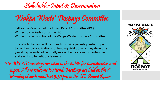### Stakeholder Input & Dissemination



Fall 2021 – Relaunch of the Indian Parent Committee (IPC) Winter 2022 – Redesign of the IPC Winter 2022 – Evolution of the Wakpa Waste' Tiospaye Committee

The WWTC has and will continue to provide parent/guardian input toward annual applications for funding. Additionally, they develop a year-long calendar of culturally relevant educational opportunities and events to benefit our learners.

The WWTC meetings are open to the public for participation and input. All are welcome to attend. Meetings are held on the 1st Monday of each month at 5:30 pm in the UE Board Room.